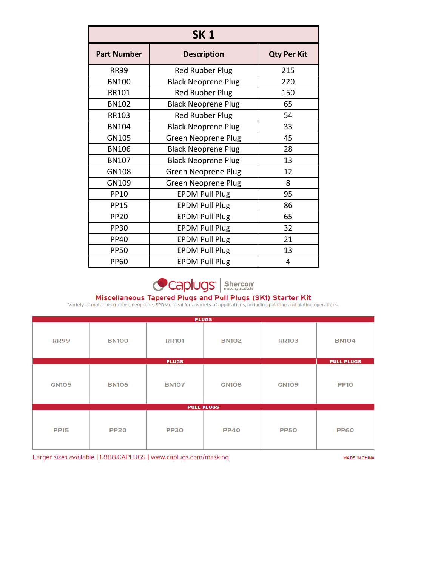| SK 1               |                            |     |  |  |
|--------------------|----------------------------|-----|--|--|
| <b>Part Number</b> | <b>Qty Per Kit</b>         |     |  |  |
| <b>RR99</b>        | <b>Red Rubber Plug</b>     | 215 |  |  |
| <b>BN100</b>       | <b>Black Neoprene Plug</b> | 220 |  |  |
| RR101              | <b>Red Rubber Plug</b>     | 150 |  |  |
| <b>BN102</b>       | <b>Black Neoprene Plug</b> | 65  |  |  |
| RR103              | <b>Red Rubber Plug</b>     | 54  |  |  |
| <b>BN104</b>       | <b>Black Neoprene Plug</b> | 33  |  |  |
| GN105              | <b>Green Neoprene Plug</b> | 45  |  |  |
| <b>BN106</b>       | <b>Black Neoprene Plug</b> | 28  |  |  |
| <b>BN107</b>       | <b>Black Neoprene Plug</b> | 13  |  |  |
| GN108              | <b>Green Neoprene Plug</b> | 12  |  |  |
| GN109              | <b>Green Neoprene Plug</b> | 8   |  |  |
| <b>PP10</b>        | <b>EPDM Pull Plug</b>      | 95  |  |  |
| <b>PP15</b>        | <b>EPDM Pull Plug</b>      | 86  |  |  |
| <b>PP20</b>        | <b>EPDM Pull Plug</b>      | 65  |  |  |
| <b>PP30</b>        | <b>EPDM Pull Plug</b>      | 32  |  |  |
| <b>PP40</b>        | <b>EPDM Pull Plug</b>      | 21  |  |  |
| <b>PP50</b>        | <b>EPDM Pull Plug</b>      | 13  |  |  |
| <b>PP60</b>        | <b>EPDM Pull Plug</b>      | 4   |  |  |



Miscellaneous Tapered Plugs and Pull Plugs (SK1) Starter Kit<br>Variety of materials (rubber, neoprene, EPDM). Ideal for a variety of applications, including painting and plating operations.

| <b>PLUGS</b> |              |              |                   |              |                   |
|--------------|--------------|--------------|-------------------|--------------|-------------------|
| <b>RR99</b>  | <b>BN100</b> | <b>RR101</b> | <b>BN102</b>      | <b>RR103</b> | <b>BN104</b>      |
|              |              | <b>PLUGS</b> |                   |              | <b>PULL PLUGS</b> |
| <b>GN105</b> | <b>BN106</b> | <b>BN107</b> | <b>GN108</b>      | <b>GN109</b> | <b>PP10</b>       |
|              |              |              | <b>PULL PLUGS</b> |              |                   |
| <b>PP15</b>  | <b>PP20</b>  | <b>PP30</b>  | <b>PP40</b>       | <b>PP50</b>  | <b>PP60</b>       |

Larger sizes available | 1.888.CAPLUGS | www.caplugs.com/masking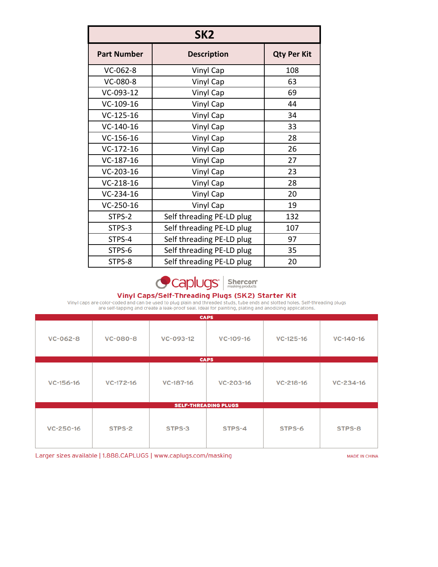| SK <sub>2</sub>    |                           |                    |  |  |  |
|--------------------|---------------------------|--------------------|--|--|--|
| <b>Part Number</b> | <b>Description</b>        | <b>Qty Per Kit</b> |  |  |  |
| $VC-062-8$         | Vinyl Cap                 | 108                |  |  |  |
| VC-080-8           | <b>Vinyl Cap</b>          | 63                 |  |  |  |
| VC-093-12          | Vinyl Cap                 | 69                 |  |  |  |
| $VC-109-16$        | Vinyl Cap                 | 44                 |  |  |  |
| $VC-125-16$        | Vinyl Cap                 | 34                 |  |  |  |
| $VC-140-16$        | Vinyl Cap                 | 33                 |  |  |  |
| $VC-156-16$        | Vinyl Cap                 | 28                 |  |  |  |
| $VC-172-16$        | <b>Vinyl Cap</b>          | 26                 |  |  |  |
| $VC-187-16$        | Vinyl Cap                 | 27                 |  |  |  |
| $VC-203-16$        | Vinyl Cap                 | 23                 |  |  |  |
| $VC-218-16$        | Vinyl Cap                 | 28                 |  |  |  |
| $VC-234-16$        | Vinyl Cap                 | 20                 |  |  |  |
| $VC-250-16$        | Vinyl Cap                 | 19                 |  |  |  |
| STPS-2             | Self threading PE-LD plug | 132                |  |  |  |
| STPS-3             | Self threading PE-LD plug | 107                |  |  |  |
| STPS-4             | Self threading PE-LD plug | 97                 |  |  |  |
| STPS-6             | Self threading PE-LD plug | 35                 |  |  |  |
| STPS-8             | Self threading PE-LD plug | 20                 |  |  |  |



Vinyl Caps/Self-Threading Plugs (SK2) Starter Kit<br>Vinyl caps are color-coded and can be used to plug plain and threaded studs, tube ends and slotted holes. Self-threading plugs<br>are self-tapping and create a leak-proof seal

|                 | <b>CAPS</b> |           |                             |                 |           |  |
|-----------------|-------------|-----------|-----------------------------|-----------------|-----------|--|
| $VC-062-8$      | VC-080-8    | VC-093-12 | VC-109-16                   | $VC-125-16$     | VC-140-16 |  |
|                 |             |           | <b>CAPS</b>                 |                 |           |  |
| $VC-156-16$     | $VC-172-16$ | VC-187-16 | VC-203-16                   | $VC - 218 - 16$ | VC-234-16 |  |
|                 |             |           | <b>SELF-THREADING PLUGS</b> |                 |           |  |
| $VC - 250 - 16$ | STPS-2      | STPS-3    | STPS-4                      | STPS-6          | STPS-8    |  |

Larger sizes available | 1.888.CAPLUGS | www.caplugs.com/masking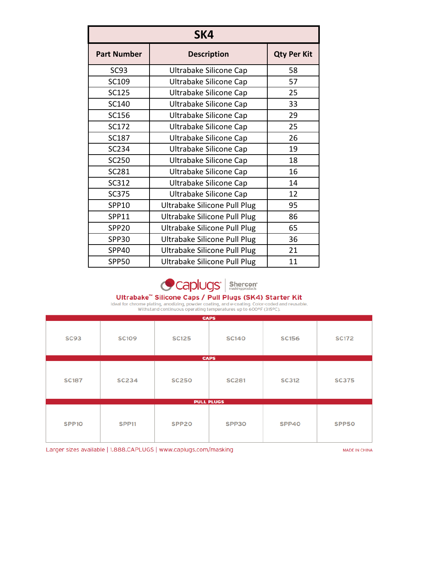| SK4                |                                     |    |  |  |  |
|--------------------|-------------------------------------|----|--|--|--|
| <b>Part Number</b> | <b>Qty Per Kit</b>                  |    |  |  |  |
| SC93               | Ultrabake Silicone Cap              | 58 |  |  |  |
| SC109              | Ultrabake Silicone Cap              | 57 |  |  |  |
| <b>SC125</b>       | Ultrabake Silicone Cap              | 25 |  |  |  |
| SC140              | Ultrabake Silicone Cap              | 33 |  |  |  |
| <b>SC156</b>       | Ultrabake Silicone Cap              | 29 |  |  |  |
| SC172              | Ultrabake Silicone Cap              | 25 |  |  |  |
| <b>SC187</b>       | Ultrabake Silicone Cap              | 26 |  |  |  |
| <b>SC234</b>       | Ultrabake Silicone Cap              | 19 |  |  |  |
| <b>SC250</b>       | Ultrabake Silicone Cap              | 18 |  |  |  |
| <b>SC281</b>       | Ultrabake Silicone Cap              | 16 |  |  |  |
| SC312              | Ultrabake Silicone Cap              | 14 |  |  |  |
| <b>SC375</b>       | Ultrabake Silicone Cap              | 12 |  |  |  |
| SPP10              | Ultrabake Silicone Pull Plug        | 95 |  |  |  |
| SPP11              | <b>Ultrabake Silicone Pull Plug</b> | 86 |  |  |  |
| <b>SPP20</b>       | Ultrabake Silicone Pull Plug        | 65 |  |  |  |
| <b>SPP30</b>       | Ultrabake Silicone Pull Plug        | 36 |  |  |  |
| <b>SPP40</b>       | Ultrabake Silicone Pull Plug        | 21 |  |  |  |
| <b>SPP50</b>       | Ultrabake Silicone Pull Plug        | 11 |  |  |  |



# Ultrabake<sup>TM</sup> Silicone Caps / Pull Plugs (SK4) Starter Kit Ideal for chrome plating, anodizing, powder coating, and e-coating. Color-coded and reusable.<br>Withstand continuous operating temperatures up to 600°F (315°C).

|                   |                   | <b>CAPS</b>       |              |              |              |
|-------------------|-------------------|-------------------|--------------|--------------|--------------|
| <b>SC93</b>       | <b>SC109</b>      | <b>SC125</b>      | <b>SC140</b> | <b>SC156</b> | <b>SC172</b> |
|                   |                   | <b>CAPS</b>       |              |              |              |
| <b>SC187</b>      | <b>SC234</b>      | <b>SC250</b>      | <b>SC281</b> | <b>SC312</b> | <b>SC375</b> |
|                   |                   | <b>PULL PLUGS</b> |              |              |              |
| SPP <sub>10</sub> | SPP <sub>11</sub> | SPP <sub>20</sub> | SPP30        | SPP40        | SPP50        |

Larger sizes available | 1.888.CAPLUGS | www.caplugs.com/masking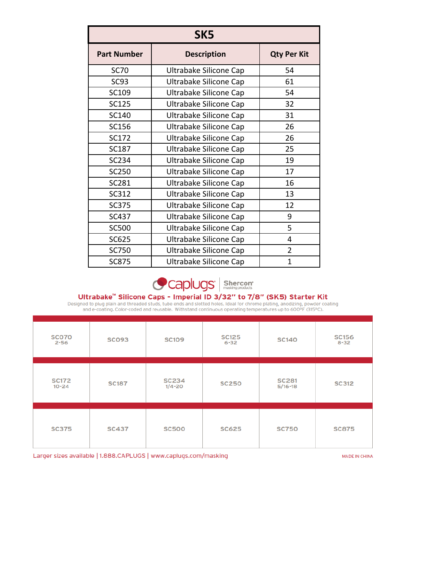| SK <sub>5</sub>    |                        |                    |  |  |  |
|--------------------|------------------------|--------------------|--|--|--|
| <b>Part Number</b> | <b>Description</b>     | <b>Qty Per Kit</b> |  |  |  |
| <b>SC70</b>        | Ultrabake Silicone Cap | 54                 |  |  |  |
| SC <sub>93</sub>   | Ultrabake Silicone Cap | 61                 |  |  |  |
| SC109              | Ultrabake Silicone Cap | 54                 |  |  |  |
| <b>SC125</b>       | Ultrabake Silicone Cap | 32                 |  |  |  |
| SC140              | Ultrabake Silicone Cap | 31                 |  |  |  |
| SC156              | Ultrabake Silicone Cap | 26                 |  |  |  |
| SC172              | Ultrabake Silicone Cap | 26                 |  |  |  |
| <b>SC187</b>       | Ultrabake Silicone Cap | 25                 |  |  |  |
| SC234              | Ultrabake Silicone Cap | 19                 |  |  |  |
| <b>SC250</b>       | Ultrabake Silicone Cap | 17                 |  |  |  |
| <b>SC281</b>       | Ultrabake Silicone Cap | 16                 |  |  |  |
| SC312              | Ultrabake Silicone Cap | 13                 |  |  |  |
| <b>SC375</b>       | Ultrabake Silicone Cap | 12                 |  |  |  |
| <b>SC437</b>       | Ultrabake Silicone Cap | 9                  |  |  |  |
| <b>SC500</b>       | Ultrabake Silicone Cap | 5                  |  |  |  |
| SC625              | Ultrabake Silicone Cap | 4                  |  |  |  |
| SC750              | Ultrabake Silicone Cap | $\overline{2}$     |  |  |  |
| <b>SC875</b>       | Ultrabake Silicone Cap | $\mathbf{1}$       |  |  |  |



Ultrabake<sup>m</sup> Silicone Caps - Imperial ID 3/32" to 7/8" (SK5) Starter Kit<br>Designed to plug plain and threaded studs, tube ends and slotted holes. Ideal for chrome plating, anodizing, powder coating<br>and e-coating. Color-code

| <b>SCO70</b><br>$2 - 56$  | <b>SC093</b> | <b>SC109</b>               | <b>SC125</b><br>$6 - 32$ | <b>SC140</b>                | <b>SC156</b><br>$8 - 32$ |
|---------------------------|--------------|----------------------------|--------------------------|-----------------------------|--------------------------|
| <b>SC172</b><br>$10 - 24$ | <b>SC187</b> | <b>SC234</b><br>$1/4 - 20$ | <b>SC250</b>             | <b>SC281</b><br>$5/16 - 18$ | <b>SC312</b>             |
| <b>SC375</b>              | <b>SC437</b> | <b>SC500</b>               | <b>SC625</b>             | <b>SC750</b>                | <b>SC875</b>             |

Larger sizes available | 1.888.CAPLUGS | www.caplugs.com/masking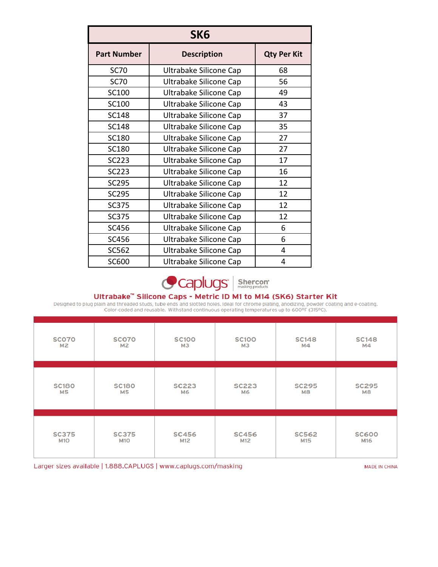| SK <sub>6</sub>    |                        |    |  |  |  |
|--------------------|------------------------|----|--|--|--|
| <b>Part Number</b> | <b>Qty Per Kit</b>     |    |  |  |  |
| <b>SC70</b>        | Ultrabake Silicone Cap | 68 |  |  |  |
| <b>SC70</b>        | Ultrabake Silicone Cap | 56 |  |  |  |
| SC100              | Ultrabake Silicone Cap | 49 |  |  |  |
| <b>SC100</b>       | Ultrabake Silicone Cap | 43 |  |  |  |
| <b>SC148</b>       | Ultrabake Silicone Cap | 37 |  |  |  |
| <b>SC148</b>       | Ultrabake Silicone Cap | 35 |  |  |  |
| <b>SC180</b>       | Ultrabake Silicone Cap | 27 |  |  |  |
| <b>SC180</b>       | Ultrabake Silicone Cap | 27 |  |  |  |
| <b>SC223</b>       | Ultrabake Silicone Cap | 17 |  |  |  |
| <b>SC223</b>       | Ultrabake Silicone Cap | 16 |  |  |  |
| <b>SC295</b>       | Ultrabake Silicone Cap | 12 |  |  |  |
| <b>SC295</b>       | Ultrabake Silicone Cap | 12 |  |  |  |
| <b>SC375</b>       | Ultrabake Silicone Cap | 12 |  |  |  |
| <b>SC375</b>       | Ultrabake Silicone Cap | 12 |  |  |  |
| <b>SC456</b>       | Ultrabake Silicone Cap | 6  |  |  |  |
| SC456              | Ultrabake Silicone Cap | 6  |  |  |  |
| SC562              | Ultrabake Silicone Cap | 4  |  |  |  |
| <b>SC600</b>       | Ultrabake Silicone Cap | 4  |  |  |  |

Caplugs<sup>'</sup> | Shercon

Ultrabake<sup>™</sup> Silicone Caps - Metric ID M1 to M14 (SK6) Starter Kit<br>Designed to plug plain and threaded studs, tube ends and slotted holes. Ideal for chrome plating, anodizing, powder coating and e-coating.<br>Color-coded and

| <b>SCO70</b>   | <b>SCO70</b>   | <b>SC100</b>   | <b>SC100</b>   | <b>SC148</b>   | <b>SC148</b>   |
|----------------|----------------|----------------|----------------|----------------|----------------|
| M <sub>2</sub> | M <sub>2</sub> | M <sub>3</sub> | M <sub>3</sub> | M4             | M4             |
| <b>SC180</b>   | <b>SC180</b>   | <b>SC223</b>   | <b>SC223</b>   | <b>SC295</b>   | <b>SC295</b>   |
| M <sub>5</sub> | <b>M5</b>      | <b>M6</b>      | <b>M6</b>      | M <sub>8</sub> | M <sub>8</sub> |
| <b>SC375</b>   | <b>SC375</b>   | <b>SC456</b>   | <b>SC456</b>   | <b>SC562</b>   | <b>SC600</b>   |
| <b>M10</b>     | <b>M10</b>     | M12            | M12            | M15            | M16            |

Larger sizes available | 1.888.CAPLUGS | www.caplugs.com/masking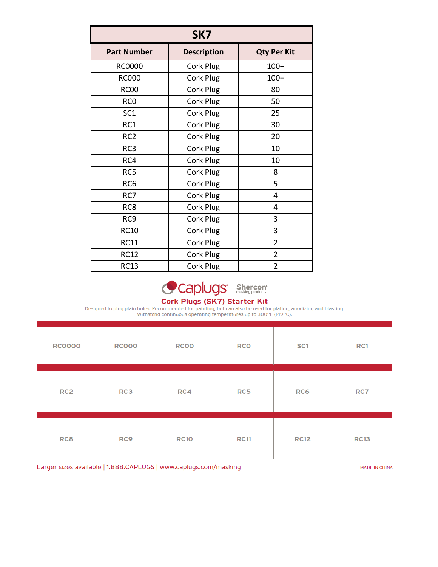| SK7                |                    |                    |  |  |  |
|--------------------|--------------------|--------------------|--|--|--|
| <b>Part Number</b> | <b>Description</b> | <b>Qty Per Kit</b> |  |  |  |
| <b>RC0000</b>      | Cork Plug          | $100+$             |  |  |  |
| <b>RC000</b>       | Cork Plug          | $100+$             |  |  |  |
| <b>RC00</b>        | Cork Plug          | 80                 |  |  |  |
| RC <sub>0</sub>    | Cork Plug          | 50                 |  |  |  |
| SC <sub>1</sub>    | Cork Plug          | 25                 |  |  |  |
| RC1                | Cork Plug          | 30                 |  |  |  |
| RC <sub>2</sub>    | Cork Plug          | 20                 |  |  |  |
| RC3                | Cork Plug          | 10                 |  |  |  |
| RC4                | Cork Plug          | 10                 |  |  |  |
| RC5                | Cork Plug          | 8                  |  |  |  |
| RC <sub>6</sub>    | Cork Plug          | 5                  |  |  |  |
| RC7                | Cork Plug          | 4                  |  |  |  |
| RC8                | Cork Plug          | 4                  |  |  |  |
| RC <sub>9</sub>    | Cork Plug          | 3                  |  |  |  |
| <b>RC10</b>        | Cork Plug          | 3                  |  |  |  |
| <b>RC11</b>        | Cork Plug          | $\overline{2}$     |  |  |  |
| <b>RC12</b>        | Cork Plug          | $\overline{2}$     |  |  |  |
| <b>RC13</b>        | Cork Plug          | $\overline{2}$     |  |  |  |



## Cork Plugs (SK7) Starter Kit

Designed to plug plain holes. Recommended for painting, but can also be used for plating, anodizing and blasting.<br>Withstand continuous operating temperatures up to 300°F (149°C).

| <b>RC0000</b>   | <b>RC000</b>    | <b>RC00</b> | <b>RCO</b>  | SC <sub>1</sub> | RC1         |
|-----------------|-----------------|-------------|-------------|-----------------|-------------|
| RC <sub>2</sub> | RC3             | RC4         | RC5         | RC6             | RC7         |
| RC <sub>8</sub> | RC <sub>9</sub> | <b>RC10</b> | <b>RC11</b> | <b>RC12</b>     | <b>RC13</b> |

Larger sizes available | 1.888.CAPLUGS | www.caplugs.com/masking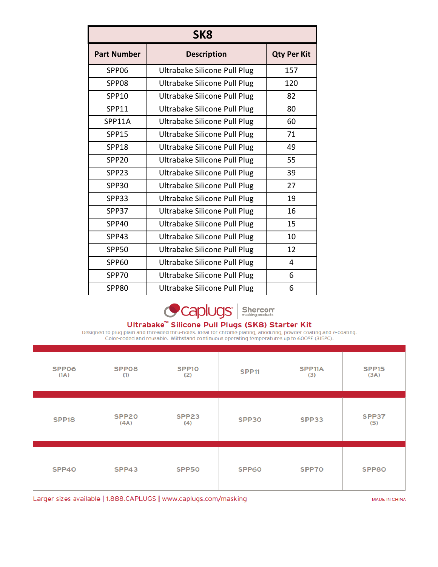| SK <sub>8</sub>    |                              |                    |  |  |
|--------------------|------------------------------|--------------------|--|--|
| <b>Part Number</b> | <b>Description</b>           | <b>Qty Per Kit</b> |  |  |
| SPP06              | Ultrabake Silicone Pull Plug | 157                |  |  |
| SPP08              | Ultrabake Silicone Pull Plug | 120                |  |  |
| SPP10              | Ultrabake Silicone Pull Plug | 82                 |  |  |
| SPP11              | Ultrabake Silicone Pull Plug | 80                 |  |  |
| SPP11A             | Ultrabake Silicone Pull Plug | 60                 |  |  |
| <b>SPP15</b>       | Ultrabake Silicone Pull Plug | 71                 |  |  |
| <b>SPP18</b>       | Ultrabake Silicone Pull Plug | 49                 |  |  |
| <b>SPP20</b>       | Ultrabake Silicone Pull Plug | 55                 |  |  |
| SPP <sub>23</sub>  | Ultrabake Silicone Pull Plug | 39                 |  |  |
| <b>SPP30</b>       | Ultrabake Silicone Pull Plug | 27                 |  |  |
| SPP33              | Ultrabake Silicone Pull Plug | 19                 |  |  |
| SPP37              | Ultrabake Silicone Pull Plug | 16                 |  |  |
| SPP40              | Ultrabake Silicone Pull Plug | 15                 |  |  |
| SPP43              | Ultrabake Silicone Pull Plug | 10                 |  |  |
| <b>SPP50</b>       | Ultrabake Silicone Pull Plug | 12                 |  |  |
| <b>SPP60</b>       | Ultrabake Silicone Pull Plug | 4                  |  |  |
| <b>SPP70</b>       | Ultrabake Silicone Pull Plug | 6                  |  |  |
| <b>SPP80</b>       | Ultrabake Silicone Pull Plug | 6                  |  |  |



Ultrabake<sup>"</sup> Silicone Pull Plugs (SK8) Starter Kit<br>Designed to plug plain and threaded thru-holes. Ideal for chrome plating, anodizing, powder coating and e-coating.<br>Color-coded and reusable. Withstand continuous operating

| SPP06<br>(1A)     | SPP08<br>(1)              | SPP <sub>10</sub><br>(2) | <b>SPP11</b> | SPP11A<br>(3) | SPP <sub>15</sub><br>(3A) |
|-------------------|---------------------------|--------------------------|--------------|---------------|---------------------------|
| SPP <sub>18</sub> | SPP <sub>20</sub><br>(AA) | SPP23<br>(4)             | SPP30        | SPP33         | SPP37<br>(5)              |
| SPP40             | SPP43                     | SPP50                    | SPP60        | SPP70         | SPP80                     |

Larger sizes available | 1.888.CAPLUGS | www.caplugs.com/masking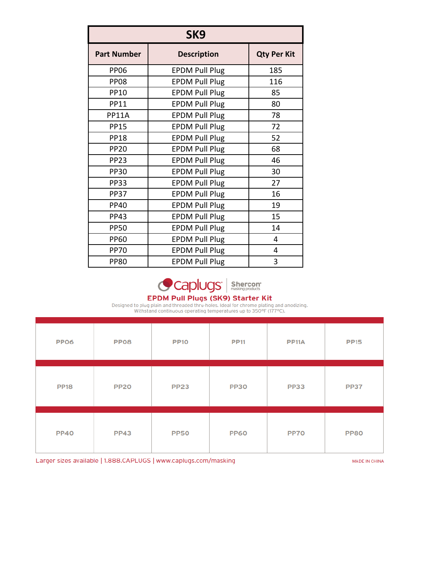| SK <sub>9</sub>    |                       |     |  |  |
|--------------------|-----------------------|-----|--|--|
| <b>Part Number</b> | <b>Qty Per Kit</b>    |     |  |  |
| <b>PP06</b>        | <b>EPDM Pull Plug</b> | 185 |  |  |
| <b>PP08</b>        | <b>EPDM Pull Plug</b> | 116 |  |  |
| <b>PP10</b>        | <b>EPDM Pull Plug</b> | 85  |  |  |
| <b>PP11</b>        | <b>EPDM Pull Plug</b> | 80  |  |  |
| <b>PP11A</b>       | <b>EPDM Pull Plug</b> | 78  |  |  |
| <b>PP15</b>        | <b>EPDM Pull Plug</b> | 72  |  |  |
| <b>PP18</b>        | <b>EPDM Pull Plug</b> | 52  |  |  |
| <b>PP20</b>        | <b>EPDM Pull Plug</b> | 68  |  |  |
| <b>PP23</b>        | <b>EPDM Pull Plug</b> | 46  |  |  |
| <b>PP30</b>        | <b>EPDM Pull Plug</b> | 30  |  |  |
| <b>PP33</b>        | <b>EPDM Pull Plug</b> | 27  |  |  |
| <b>PP37</b>        | <b>EPDM Pull Plug</b> | 16  |  |  |
| <b>PP40</b>        | <b>EPDM Pull Plug</b> | 19  |  |  |
| <b>PP43</b>        | <b>EPDM Pull Plug</b> | 15  |  |  |
| <b>PP50</b>        | <b>EPDM Pull Plug</b> | 14  |  |  |
| <b>PP60</b>        | <b>EPDM Pull Plug</b> | 4   |  |  |
| <b>PP70</b>        | <b>EPDM Pull Plug</b> | 4   |  |  |
| <b>PP80</b>        | <b>EPDM Pull Plug</b> | 3   |  |  |



### EPDM Pull Plugs (SK9) Starter Kit

Designed to plug plain and threaded thru-holes. Ideal for chrome plating and anodizing.<br>Withstand continuous operating temperatures up to 350°F (177°C).

| <b>PP06</b> | PP <sub>08</sub> | <b>PP10</b> | <b>PP11</b> | <b>PP11A</b> | <b>PP15</b> |
|-------------|------------------|-------------|-------------|--------------|-------------|
| <b>PP18</b> | <b>PP20</b>      | <b>PP23</b> | <b>PP30</b> | <b>PP33</b>  | <b>PP37</b> |
| <b>PP40</b> | <b>PP43</b>      | <b>PP50</b> | <b>PP60</b> | PP70         | <b>PP80</b> |

Larger sizes available | 1.888.CAPLUGS | www.caplugs.com/masking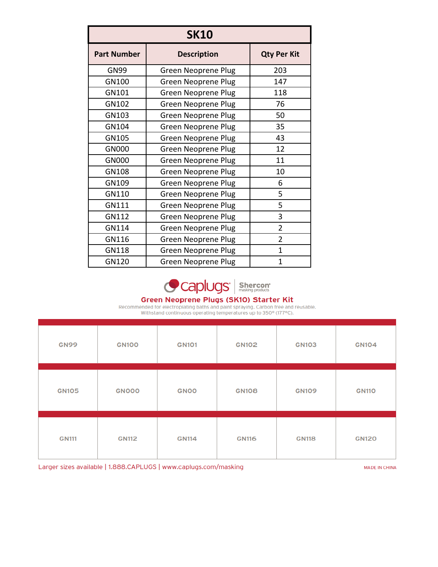| <b>SK10</b>        |                            |                |  |  |
|--------------------|----------------------------|----------------|--|--|
| <b>Part Number</b> | <b>Qty Per Kit</b>         |                |  |  |
| <b>GN99</b>        | <b>Green Neoprene Plug</b> | 203            |  |  |
| GN100              | <b>Green Neoprene Plug</b> | 147            |  |  |
| GN101              | <b>Green Neoprene Plug</b> | 118            |  |  |
| GN102              | <b>Green Neoprene Plug</b> | 76             |  |  |
| GN103              | <b>Green Neoprene Plug</b> | 50             |  |  |
| GN104              | <b>Green Neoprene Plug</b> | 35             |  |  |
| GN105              | Green Neoprene Plug        | 43             |  |  |
| GN000              | <b>Green Neoprene Plug</b> | 12             |  |  |
| GN000              | <b>Green Neoprene Plug</b> | 11             |  |  |
| GN108              | <b>Green Neoprene Plug</b> | 10             |  |  |
| GN109              | <b>Green Neoprene Plug</b> | 6              |  |  |
| GN110              | <b>Green Neoprene Plug</b> | 5              |  |  |
| GN111              | <b>Green Neoprene Plug</b> | 5              |  |  |
| GN112              | <b>Green Neoprene Plug</b> | 3              |  |  |
| GN114              | <b>Green Neoprene Plug</b> | $\overline{2}$ |  |  |
| GN116              | <b>Green Neoprene Plug</b> | $\overline{2}$ |  |  |
| GN118              | <b>Green Neoprene Plug</b> | $\overline{1}$ |  |  |
| GN120              | <b>Green Neoprene Plug</b> | 1              |  |  |



### Green Neoprene Plugs (SK10) Starter Kit

Recommended for electroplating baths and paint spraying. Carbon free and reusable.<br>Withstand continuous operating temperatures up to 350° (177°C).

| <b>GN99</b>  | <b>GN100</b> | <b>GN101</b> | <b>GN102</b> | <b>GN103</b> | <b>GN104</b> |
|--------------|--------------|--------------|--------------|--------------|--------------|
| <b>GN105</b> | <b>GNOOO</b> | <b>GNOO</b>  | <b>GN108</b> | <b>GN109</b> | <b>GN110</b> |
| <b>GN111</b> | <b>GN112</b> | <b>GN114</b> | <b>GN116</b> | <b>GN118</b> | <b>GN120</b> |

Larger sizes available | 1.888.CAPLUGS | www.caplugs.com/masking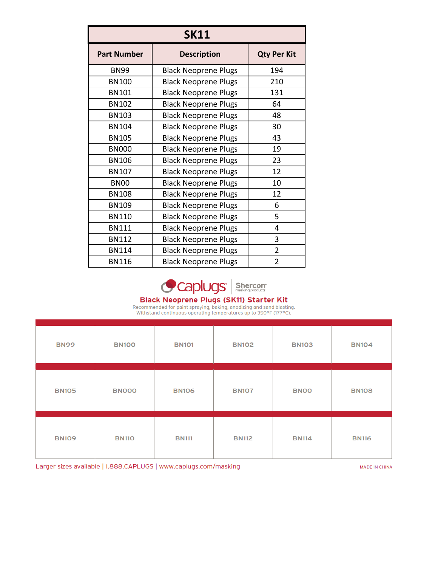| <b>SK11</b>        |                             |                |  |  |
|--------------------|-----------------------------|----------------|--|--|
| <b>Part Number</b> | <b>Qty Per Kit</b>          |                |  |  |
| <b>BN99</b>        | <b>Black Neoprene Plugs</b> | 194            |  |  |
| <b>BN100</b>       | <b>Black Neoprene Plugs</b> | 210            |  |  |
| <b>BN101</b>       | <b>Black Neoprene Plugs</b> | 131            |  |  |
| <b>BN102</b>       | <b>Black Neoprene Plugs</b> | 64             |  |  |
| <b>BN103</b>       | <b>Black Neoprene Plugs</b> | 48             |  |  |
| <b>BN104</b>       | <b>Black Neoprene Plugs</b> | 30             |  |  |
| <b>BN105</b>       | <b>Black Neoprene Plugs</b> | 43             |  |  |
| <b>BN000</b>       | <b>Black Neoprene Plugs</b> | 19             |  |  |
| <b>BN106</b>       | <b>Black Neoprene Plugs</b> | 23             |  |  |
| <b>BN107</b>       | <b>Black Neoprene Plugs</b> | 12             |  |  |
| <b>BN00</b>        | <b>Black Neoprene Plugs</b> | 10             |  |  |
| <b>BN108</b>       | <b>Black Neoprene Plugs</b> | 12             |  |  |
| <b>BN109</b>       | <b>Black Neoprene Plugs</b> | 6              |  |  |
| <b>BN110</b>       | <b>Black Neoprene Plugs</b> | 5              |  |  |
| <b>BN111</b>       | <b>Black Neoprene Plugs</b> | 4              |  |  |
| <b>BN112</b>       | <b>Black Neoprene Plugs</b> | 3              |  |  |
| <b>BN114</b>       | <b>Black Neoprene Plugs</b> | $\overline{2}$ |  |  |
| <b>BN116</b>       | <b>Black Neoprene Plugs</b> | 2              |  |  |



### **Black Neoprene Plugs (SK11) Starter Kit**

Recommended for paint spraying, baking, anodizing and sand blasting.<br>Withstand continuous operating temperatures up to 350°F (177°C).

| <b>BN99</b>  | <b>BN100</b> | <b>BN101</b> | <b>BN102</b> | <b>BN103</b> | <b>BN104</b> |
|--------------|--------------|--------------|--------------|--------------|--------------|
| <b>BN105</b> | <b>BN000</b> | <b>BN106</b> | <b>BN107</b> | <b>BNOO</b>  | <b>BN108</b> |
| <b>BN109</b> | <b>BN110</b> | <b>BN111</b> | <b>BN112</b> | <b>BN114</b> | <b>BN116</b> |

Larger sizes available | 1.888.CAPLUGS | www.caplugs.com/masking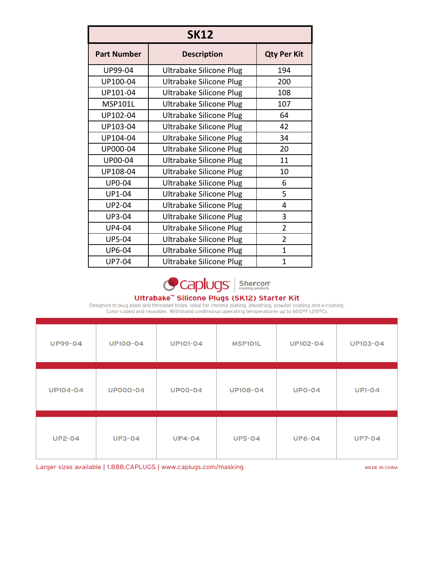| <b>SK12</b>        |                                |                |  |  |
|--------------------|--------------------------------|----------------|--|--|
| <b>Part Number</b> | <b>Qty Per Kit</b>             |                |  |  |
| UP99-04            | Ultrabake Silicone Plug        | 194            |  |  |
| UP100-04           | Ultrabake Silicone Plug        | 200            |  |  |
| UP101-04           | <b>Ultrabake Silicone Plug</b> | 108            |  |  |
| <b>MSP101L</b>     | <b>Ultrabake Silicone Plug</b> | 107            |  |  |
| UP102-04           | Ultrabake Silicone Plug        | 64             |  |  |
| UP103-04           | <b>Ultrabake Silicone Plug</b> | 42             |  |  |
| UP104-04           | <b>Ultrabake Silicone Plug</b> | 34             |  |  |
| UP000-04           | Ultrabake Silicone Plug        | 20             |  |  |
| <b>UP00-04</b>     | Ultrabake Silicone Plug        | 11             |  |  |
| UP108-04           | <b>Ultrabake Silicone Plug</b> | 10             |  |  |
| <b>UP0-04</b>      | Ultrabake Silicone Plug        | 6              |  |  |
| UP1-04             | Ultrabake Silicone Plug        | 5              |  |  |
| <b>UP2-04</b>      | Ultrabake Silicone Plug        | 4              |  |  |
| <b>UP3-04</b>      | <b>Ultrabake Silicone Plug</b> | 3              |  |  |
| <b>UP4-04</b>      | <b>Ultrabake Silicone Plug</b> | $\overline{2}$ |  |  |
| <b>UP5-04</b>      | <b>Ultrabake Silicone Plug</b> | $\overline{2}$ |  |  |
| UP6-04             | <b>Ultrabake Silicone Plug</b> | $\mathbf{1}$   |  |  |
| <b>UP7-04</b>      | Ultrabake Silicone Plug        | 1              |  |  |



Ultrabake<sup>™</sup> Silicone Plugs (SK12) Starter Kit<br>Designed to plug plain and threaded holes. Ideal for chrome plating, anodizing, powder coating and e-coating.<br>Color-coded and reusable. Withstand continuous operating tempera

| <b>UP99-04</b>  | <b>UP100-04</b> | <b>UP101-04</b> | <b>MSP101L</b>  | <b>UP102-04</b> | UP103-04      |
|-----------------|-----------------|-----------------|-----------------|-----------------|---------------|
| <b>UP104-04</b> | <b>UP000-04</b> | <b>UP00-04</b>  | <b>UP108-04</b> | <b>UP0-04</b>   | <b>UP1-04</b> |
| <b>UP2-04</b>   | <b>UP3-04</b>   | <b>UP4-04</b>   | <b>UP5-04</b>   | <b>UP6-04</b>   | <b>UP7-04</b> |

Larger sizes available | 1.888.CAPLUGS | www.caplugs.com/masking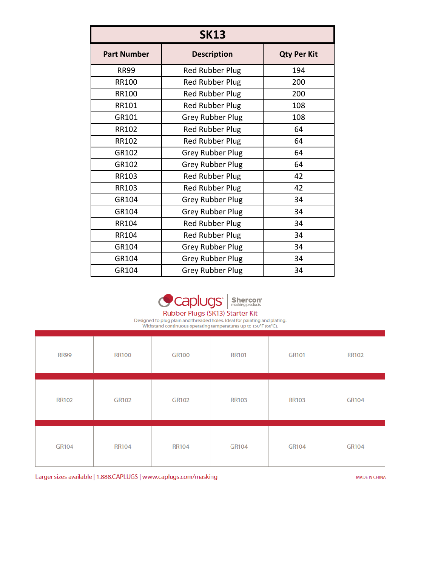| <b>SK13</b>        |                         |     |  |  |
|--------------------|-------------------------|-----|--|--|
| <b>Part Number</b> | <b>Qty Per Kit</b>      |     |  |  |
| <b>RR99</b>        | <b>Red Rubber Plug</b>  | 194 |  |  |
| <b>RR100</b>       | <b>Red Rubber Plug</b>  | 200 |  |  |
| <b>RR100</b>       | <b>Red Rubber Plug</b>  | 200 |  |  |
| RR101              | <b>Red Rubber Plug</b>  | 108 |  |  |
| GR101              | <b>Grey Rubber Plug</b> | 108 |  |  |
| RR102              | <b>Red Rubber Plug</b>  | 64  |  |  |
| RR102              | <b>Red Rubber Plug</b>  | 64  |  |  |
| GR102              | <b>Grey Rubber Plug</b> | 64  |  |  |
| GR102              | <b>Grey Rubber Plug</b> | 64  |  |  |
| <b>RR103</b>       | <b>Red Rubber Plug</b>  | 42  |  |  |
| RR103              | <b>Red Rubber Plug</b>  | 42  |  |  |
| GR104              | <b>Grey Rubber Plug</b> | 34  |  |  |
| GR104              | <b>Grey Rubber Plug</b> | 34  |  |  |
| <b>RR104</b>       | <b>Red Rubber Plug</b>  | 34  |  |  |
| <b>RR104</b>       | <b>Red Rubber Plug</b>  | 34  |  |  |
| GR104              | <b>Grey Rubber Plug</b> | 34  |  |  |
| GR104              | <b>Grey Rubber Plug</b> | 34  |  |  |
| GR104              | <b>Grey Rubber Plug</b> | 34  |  |  |



Rubber Plugs (SK13) Starter Kit

Designed to plug plain and threaded holes. Ideal for painting and plating.<br>Withstand continuous operating temperatures up to 150°F (66°C).

| <b>RR99</b>  | <b>RR100</b> | <b>GR100</b> | <b>RR101</b> | <b>GR101</b> | <b>RR102</b> |
|--------------|--------------|--------------|--------------|--------------|--------------|
| <b>RR102</b> | <b>GR102</b> | <b>GR102</b> | <b>RR103</b> | <b>RR103</b> | <b>GR104</b> |
| <b>GR104</b> | <b>RR104</b> | <b>RR104</b> | GR104        | GR104        | <b>GR104</b> |

Larger sizes available | 1.888.CAPLUGS | www.caplugs.com/masking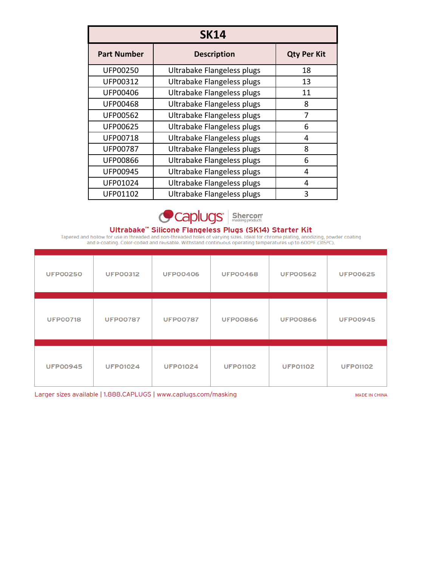| <b>SK14</b>        |                            |                    |  |  |  |
|--------------------|----------------------------|--------------------|--|--|--|
| <b>Part Number</b> | <b>Description</b>         | <b>Qty Per Kit</b> |  |  |  |
| <b>UFP00250</b>    | Ultrabake Flangeless plugs | 18                 |  |  |  |
| UFP00312           | Ultrabake Flangeless plugs | 13                 |  |  |  |
| <b>UFP00406</b>    | Ultrabake Flangeless plugs | 11                 |  |  |  |
| <b>UFP00468</b>    | Ultrabake Flangeless plugs | 8                  |  |  |  |
| <b>UFP00562</b>    | Ultrabake Flangeless plugs | 7                  |  |  |  |
| <b>UFP00625</b>    | Ultrabake Flangeless plugs | 6                  |  |  |  |
| UFP00718           | Ultrabake Flangeless plugs | 4                  |  |  |  |
| <b>UFP00787</b>    | Ultrabake Flangeless plugs | 8                  |  |  |  |
| <b>UFP00866</b>    | Ultrabake Flangeless plugs | 6                  |  |  |  |
| UFP00945           | Ultrabake Flangeless plugs | 4                  |  |  |  |
| UFP01024           | Ultrabake Flangeless plugs | 4                  |  |  |  |
| UFP01102           | Ultrabake Flangeless plugs | 3                  |  |  |  |



**Ultrabake<sup>m</sup> Silicone Flangeless Plugs (SK14) Starter Kit**<br>Tapered and hollow for use in threaded and non-threaded holes of varying sizes. Ideal for chrome plating, anodizing, powder coating<br>and e-coating. Color-coded and

| <b>UFP00250</b> | <b>UFP00312</b> | <b>UFP00406</b> | <b>UFP00468</b> | <b>UFP00562</b> | <b>UFP00625</b> |
|-----------------|-----------------|-----------------|-----------------|-----------------|-----------------|
| <b>UFP00718</b> | <b>UFP00787</b> | <b>UFP00787</b> | <b>UFP00866</b> | <b>UFP00866</b> | <b>UFP00945</b> |
| <b>UFP00945</b> | <b>UFP01024</b> | <b>UFP01024</b> | <b>UFP01102</b> | <b>UFP01102</b> | <b>UFP01102</b> |

Larger sizes available | 1.888.CAPLUGS | www.caplugs.com/masking